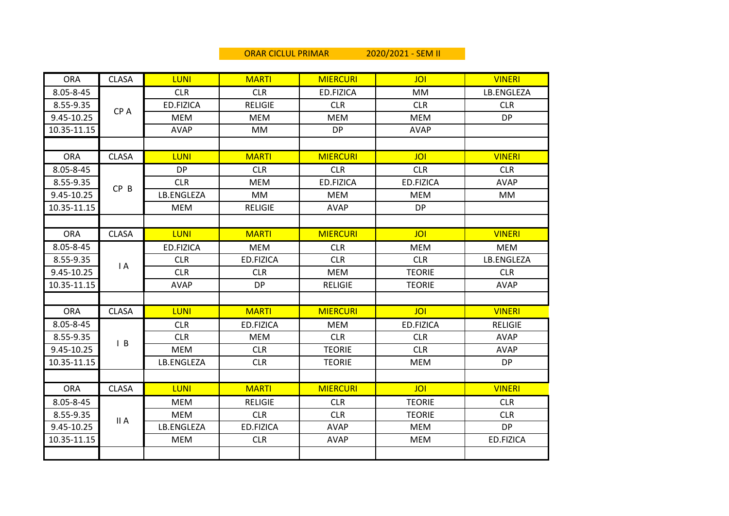## ORAR CICLUL PRIMAR 2020/2021 - SEM II

| <b>ORA</b>  | <b>CLASA</b>   | <b>LUNI</b> | <b>MARTI</b>   | <b>MIERCURI</b> | <b>JOI</b>    | <b>VINERI</b>  |
|-------------|----------------|-------------|----------------|-----------------|---------------|----------------|
| 8.05-8-45   | CP A           | <b>CLR</b>  | <b>CLR</b>     | ED.FIZICA       | <b>MM</b>     | LB.ENGLEZA     |
| 8.55-9.35   |                | ED.FIZICA   | <b>RELIGIE</b> | <b>CLR</b>      | <b>CLR</b>    | <b>CLR</b>     |
| 9.45-10.25  |                | <b>MEM</b>  | <b>MEM</b>     | <b>MEM</b>      | <b>MEM</b>    | <b>DP</b>      |
| 10.35-11.15 |                | <b>AVAP</b> | MM             | <b>DP</b>       | <b>AVAP</b>   |                |
|             |                |             |                |                 |               |                |
| <b>ORA</b>  | <b>CLASA</b>   | <b>LUNI</b> | <b>MARTI</b>   | <b>MIERCURI</b> | <b>JOI</b>    | <b>VINERI</b>  |
| 8.05-8-45   | $CP$ $B$       | <b>DP</b>   | <b>CLR</b>     | <b>CLR</b>      | <b>CLR</b>    | <b>CLR</b>     |
| 8.55-9.35   |                | <b>CLR</b>  | <b>MEM</b>     | ED.FIZICA       | ED.FIZICA     | <b>AVAP</b>    |
| 9.45-10.25  |                | LB.ENGLEZA  | MM             | <b>MEM</b>      | <b>MEM</b>    | MM             |
| 10.35-11.15 |                | <b>MEM</b>  | <b>RELIGIE</b> | <b>AVAP</b>     | <b>DP</b>     |                |
|             |                |             |                |                 |               |                |
| <b>ORA</b>  | <b>CLASA</b>   | <b>LUNI</b> | <b>MARTI</b>   | <b>MIERCURI</b> | <b>JOI</b>    | <b>VINERI</b>  |
| 8.05-8-45   |                | ED.FIZICA   | <b>MEM</b>     | <b>CLR</b>      | <b>MEM</b>    | <b>MEM</b>     |
| 8.55-9.35   | $\mathsf{I}$ A | <b>CLR</b>  | ED.FIZICA      | <b>CLR</b>      | <b>CLR</b>    | LB.ENGLEZA     |
| 9.45-10.25  |                | <b>CLR</b>  | <b>CLR</b>     | <b>MEM</b>      | <b>TEORIE</b> | <b>CLR</b>     |
| 10.35-11.15 |                | <b>AVAP</b> | <b>DP</b>      | <b>RELIGIE</b>  | <b>TEORIE</b> | <b>AVAP</b>    |
|             |                |             |                |                 |               |                |
| <b>ORA</b>  | <b>CLASA</b>   | <b>LUNI</b> | <b>MARTI</b>   | <b>MIERCURI</b> | <b>JOI</b>    | <b>VINERI</b>  |
| 8.05-8-45   |                | <b>CLR</b>  | ED.FIZICA      | <b>MEM</b>      | ED.FIZICA     | <b>RELIGIE</b> |
| 8.55-9.35   | $\mathsf{I}$ B | <b>CLR</b>  | <b>MEM</b>     | <b>CLR</b>      | <b>CLR</b>    | <b>AVAP</b>    |
| 9.45-10.25  |                | <b>MEM</b>  | <b>CLR</b>     | <b>TEORIE</b>   | <b>CLR</b>    | <b>AVAP</b>    |
| 10.35-11.15 |                | LB.ENGLEZA  | <b>CLR</b>     | <b>TEORIE</b>   | <b>MEM</b>    | <b>DP</b>      |
|             |                |             |                |                 |               |                |
| <b>ORA</b>  | <b>CLASA</b>   | LUNI        | <b>MARTI</b>   | <b>MIERCURI</b> | <b>JOI</b>    | <b>VINERI</b>  |
| 8.05-8-45   | II A           | <b>MEM</b>  | <b>RELIGIE</b> | <b>CLR</b>      | <b>TEORIE</b> | <b>CLR</b>     |
| 8.55-9.35   |                | MEM         | <b>CLR</b>     | <b>CLR</b>      | <b>TEORIE</b> | <b>CLR</b>     |
| 9.45-10.25  |                | LB.ENGLEZA  | ED.FIZICA      | <b>AVAP</b>     | <b>MEM</b>    | <b>DP</b>      |
| 10.35-11.15 |                | <b>MEM</b>  | <b>CLR</b>     | <b>AVAP</b>     | <b>MEM</b>    | ED.FIZICA      |
|             |                |             |                |                 |               |                |